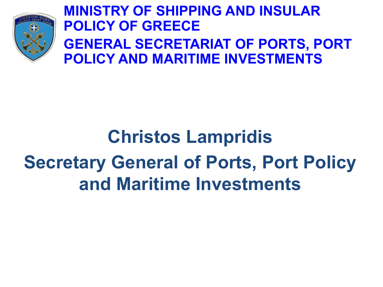

**MINISTRY OF SHIPPING AND INSULAR POLICY OF GREECE GENERAL SECRETARIAT OF PORTS, PORT POLICY AND MARITIME INVESTMENTS**

# **Christos Lampridis Secretary General of Ports, Port Policy and Maritime Investments**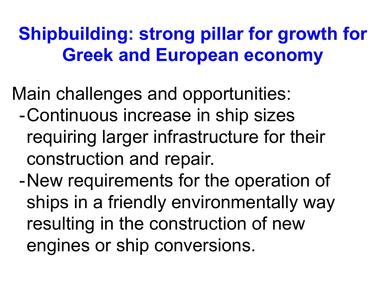#### **Shipbuilding: strong pillar for growth for Greek and European economy**

- Main challenges and opportunities: -Continuous increase in ship sizes requiring larger infrastructure for their construction and repair.
	- -New requirements for the operation of ships in a friendly environmentally way resulting in the construction of new engines or ship conversions.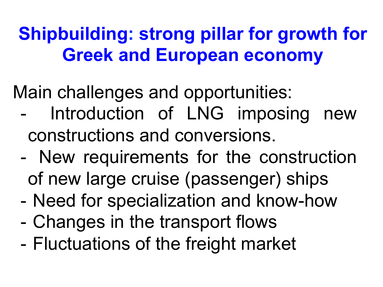### **Shipbuilding: strong pillar for growth for Greek and European economy**

Main challenges and opportunities:

- Introduction of LNG imposing new constructions and conversions.
- New requirements for the construction of new large cruise (passenger) ships
- Need for specialization and know-how
- Changes in the transport flows
- Fluctuations of the freight market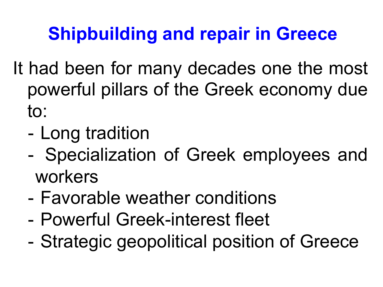# **Shipbuilding and repair in Greece**

- It had been for many decades one the most powerful pillars of the Greek economy due to:
	- Long tradition
	- Specialization of Greek employees and workers
	- Favorable weather conditions
	- Powerful Greek-interest fleet
	- Strategic geopolitical position of Greece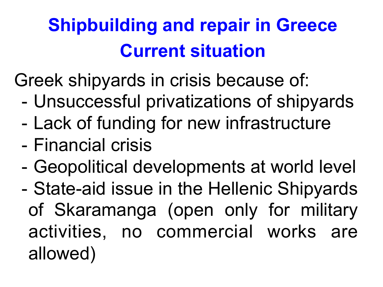# **Shipbuilding and repair in Greece Current situation**

Greek shipyards in crisis because of:

- Unsuccessful privatizations of shipyards
- Lack of funding for new infrastructure
- Financial crisis
- Geopolitical developments at world level
- State-aid issue in the Hellenic Shipyards of Skaramanga (open only for military activities, no commercial works are allowed)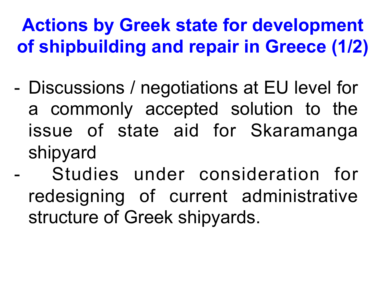# **Actions by Greek state for development of shipbuilding and repair in Greece (1/2)**

- Discussions / negotiations at EU level for a commonly accepted solution to the issue of state aid for Skaramanga shipyard
	- Studies under consideration for redesigning of current administrative structure of Greek shipyards.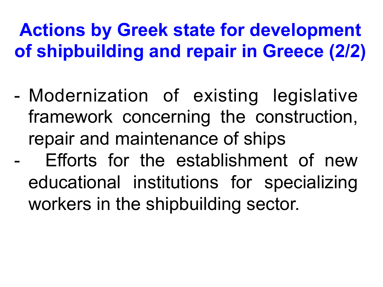# **Actions by Greek state for development of shipbuilding and repair in Greece (2/2)**

- Modernization of existing legislative framework concerning the construction, repair and maintenance of ships Efforts for the establishment of new educational institutions for specializing workers in the shipbuilding sector.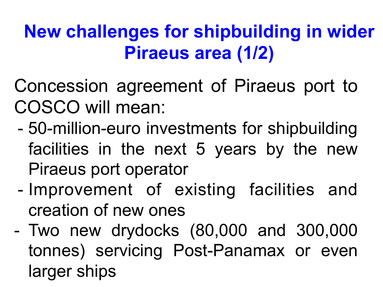### **New challenges for shipbuilding in wider Piraeus area (1/2)**

Concession agreement of Piraeus port to COSCO will mean:

- 50-million-euro investments for shipbuilding facilities in the next 5 years by the new Piraeus port operator
- Improvement of existing facilities and creation of new ones
- Two new drydocks (80,000 and 300,000 tonnes) servicing Post-Panamax or even larger ships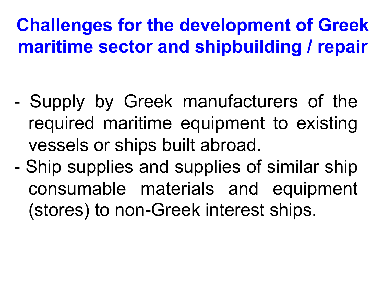## **Challenges for the development of Greek maritime sector and shipbuilding / repair**

- Supply by Greek manufacturers of the required maritime equipment to existing vessels or ships built abroad.
- Ship supplies and supplies of similar ship consumable materials and equipment (stores) to non-Greek interest ships.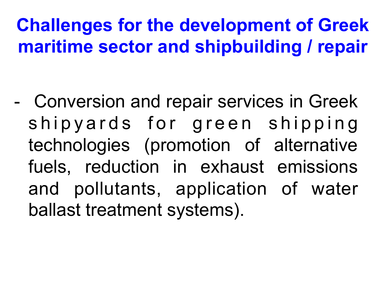### **Challenges for the development of Greek maritime sector and shipbuilding / repair**

- Conversion and repair services in Greek shipyards for green shipping technologies (promotion of alternative fuels, reduction in exhaust emissions and pollutants, application of water ballast treatment systems).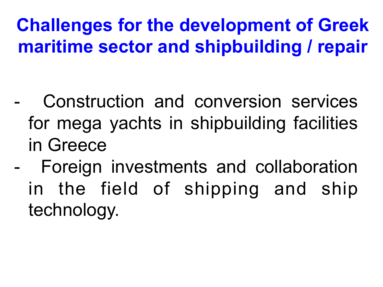# **Challenges for the development of Greek maritime sector and shipbuilding / repair**

- Construction and conversion services for mega yachts in shipbuilding facilities in Greece
- Foreign investments and collaboration in the field of shipping and ship technology.